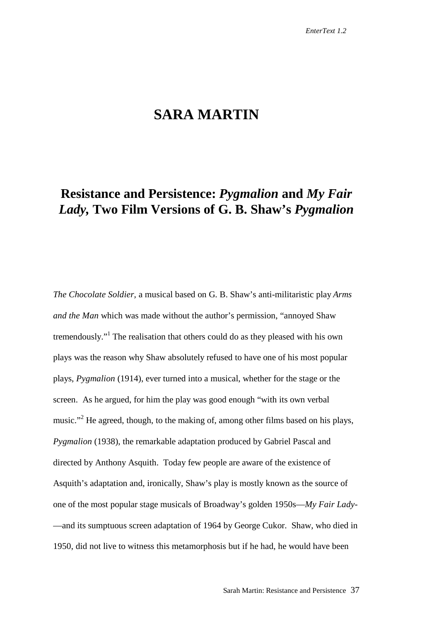## **SARA MARTIN**

# **Resistance and Persistence:** *Pygmalion* **and** *My Fair Lady,* **Two Film Versions of G. B. Shaw's** *Pygmalion*

*The Chocolate Soldier,* a musical based on G. B. Shaw's anti-militaristic play *Arms and the Man* which was made without the author's permission, "annoyed Shaw tremendously."<sup>1</sup> The realisation that others could do as they pleased with his own plays was the reason why Shaw absolutely refused to have one of his most popular plays, *Pygmalion* (1914), ever turned into a musical, whether for the stage or the screen. As he argued, for him the play was good enough "with its own verbal music."<sup>2</sup> He agreed, though, to the making of, among other films based on his plays, *Pygmalion* (1938), the remarkable adaptation produced by Gabriel Pascal and directed by Anthony Asquith. Today few people are aware of the existence of Asquith's adaptation and, ironically, Shaw's play is mostly known as the source of one of the most popular stage musicals of Broadway's golden 1950s—*My Fair Lady-* —and its sumptuous screen adaptation of 1964 by George Cukor. Shaw, who died in 1950, did not live to witness this metamorphosis but if he had, he would have been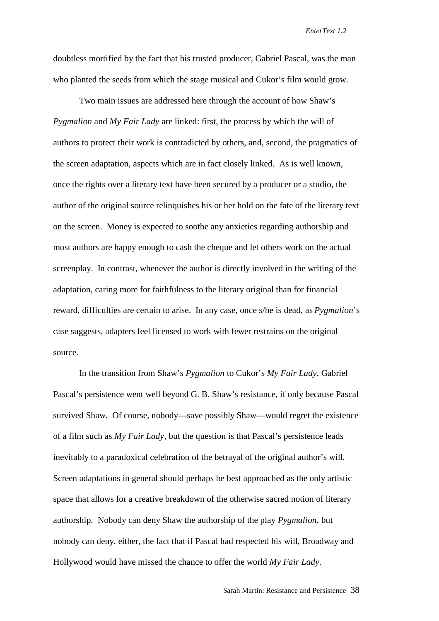doubtless mortified by the fact that his trusted producer, Gabriel Pascal, was the man who planted the seeds from which the stage musical and Cukor's film would grow.

Two main issues are addressed here through the account of how Shaw's *Pygmalion* and *My Fair Lady* are linked: first, the process by which the will of authors to protect their work is contradicted by others, and, second, the pragmatics of the screen adaptation, aspects which are in fact closely linked. As is well known, once the rights over a literary text have been secured by a producer or a studio, the author of the original source relinquishes his or her hold on the fate of the literary text on the screen. Money is expected to soothe any anxieties regarding authorship and most authors are happy enough to cash the cheque and let others work on the actual screenplay. In contrast, whenever the author is directly involved in the writing of the adaptation, caring more for faithfulness to the literary original than for financial reward, difficulties are certain to arise. In any case, once s/he is dead, as *Pygmalion*'s case suggests, adapters feel licensed to work with fewer restrains on the original source.

In the transition from Shaw's *Pygmalion* to Cukor's *My Fair Lady*, Gabriel Pascal's persistence went well beyond G. B. Shaw's resistance, if only because Pascal survived Shaw. Of course, nobody—save possibly Shaw—would regret the existence of a film such as *My Fair Lady*, but the question is that Pascal's persistence leads inevitably to a paradoxical celebration of the betrayal of the original author's will. Screen adaptations in general should perhaps be best approached as the only artistic space that allows for a creative breakdown of the otherwise sacred notion of literary authorship. Nobody can deny Shaw the authorship of the play *Pygmalion*, but nobody can deny, either, the fact that if Pascal had respected his will, Broadway and Hollywood would have missed the chance to offer the world *My Fair Lady*.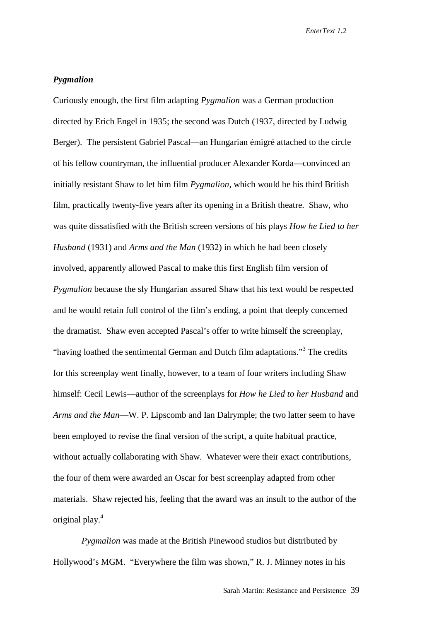## *Pygmalion*

Curiously enough, the first film adapting *Pygmalion* was a German production directed by Erich Engel in 1935; the second was Dutch (1937, directed by Ludwig Berger). The persistent Gabriel Pascal—an Hungarian émigré attached to the circle of his fellow countryman, the influential producer Alexander Korda—convinced an initially resistant Shaw to let him film *Pygmalion*, which would be his third British film, practically twenty-five years after its opening in a British theatre. Shaw, who was quite dissatisfied with the British screen versions of his plays *How he Lied to her Husband* (1931) and *Arms and the Man* (1932) in which he had been closely involved, apparently allowed Pascal to make this first English film version of *Pygmalion* because the sly Hungarian assured Shaw that his text would be respected and he would retain full control of the film's ending, a point that deeply concerned the dramatist. Shaw even accepted Pascal's offer to write himself the screenplay, "having loathed the sentimental German and Dutch film adaptations."<sup>3</sup> The credits for this screenplay went finally, however, to a team of four writers including Shaw himself: Cecil Lewis—author of the screenplays for *How he Lied to her Husband* and *Arms and the Man*—W. P. Lipscomb and Ian Dalrymple; the two latter seem to have been employed to revise the final version of the script, a quite habitual practice, without actually collaborating with Shaw. Whatever were their exact contributions, the four of them were awarded an Oscar for best screenplay adapted from other materials. Shaw rejected his, feeling that the award was an insult to the author of the original play.<sup>4</sup>

 *Pygmalion* was made at the British Pinewood studios but distributed by Hollywood's MGM. "Everywhere the film was shown," R. J. Minney notes in his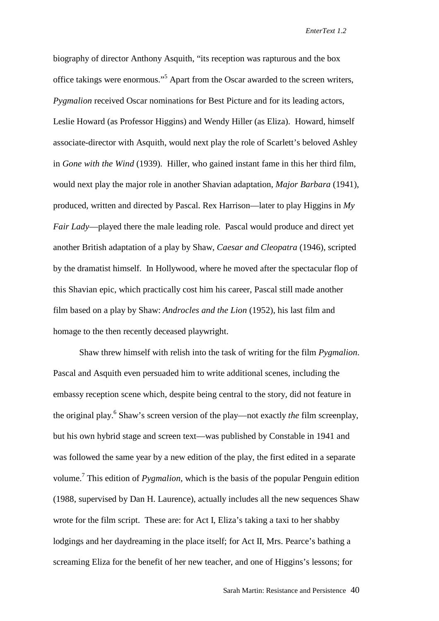biography of director Anthony Asquith, "its reception was rapturous and the box office takings were enormous."<sup>5</sup> Apart from the Oscar awarded to the screen writers, *Pygmalion* received Oscar nominations for Best Picture and for its leading actors, Leslie Howard (as Professor Higgins) and Wendy Hiller (as Eliza). Howard, himself associate-director with Asquith, would next play the role of Scarlett's beloved Ashley in *Gone with the Wind* (1939). Hiller, who gained instant fame in this her third film, would next play the major role in another Shavian adaptation, *Major Barbara* (1941), produced, written and directed by Pascal. Rex Harrison—later to play Higgins in *My Fair Lady*—played there the male leading role. Pascal would produce and direct yet another British adaptation of a play by Shaw, *Caesar and Cleopatra* (1946), scripted by the dramatist himself. In Hollywood, where he moved after the spectacular flop of this Shavian epic, which practically cost him his career, Pascal still made another film based on a play by Shaw: *Androcles and the Lion* (1952), his last film and homage to the then recently deceased playwright.

Shaw threw himself with relish into the task of writing for the film *Pygmalion*. Pascal and Asquith even persuaded him to write additional scenes, including the embassy reception scene which, despite being central to the story, did not feature in the original play.<sup>6</sup> Shaw's screen version of the play—not exactly *the* film screenplay, but his own hybrid stage and screen text—was published by Constable in 1941 and was followed the same year by a new edition of the play, the first edited in a separate volume.<sup>7</sup> This edition of *Pygmalion*, which is the basis of the popular Penguin edition (1988, supervised by Dan H. Laurence), actually includes all the new sequences Shaw wrote for the film script. These are: for Act I, Eliza's taking a taxi to her shabby lodgings and her daydreaming in the place itself; for Act II, Mrs. Pearce's bathing a screaming Eliza for the benefit of her new teacher, and one of Higgins's lessons; for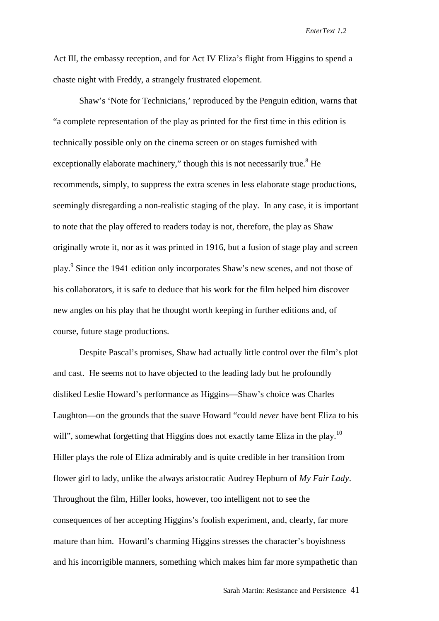Act III, the embassy reception, and for Act IV Eliza's flight from Higgins to spend a chaste night with Freddy, a strangely frustrated elopement.

Shaw's 'Note for Technicians,' reproduced by the Penguin edition, warns that "a complete representation of the play as printed for the first time in this edition is technically possible only on the cinema screen or on stages furnished with exceptionally elaborate machinery," though this is not necessarily true.<sup>8</sup> He recommends, simply, to suppress the extra scenes in less elaborate stage productions, seemingly disregarding a non-realistic staging of the play. In any case, it is important to note that the play offered to readers today is not, therefore, the play as Shaw originally wrote it, nor as it was printed in 1916, but a fusion of stage play and screen play.<sup>9</sup> Since the 1941 edition only incorporates Shaw's new scenes, and not those of his collaborators, it is safe to deduce that his work for the film helped him discover new angles on his play that he thought worth keeping in further editions and, of course, future stage productions.

Despite Pascal's promises, Shaw had actually little control over the film's plot and cast. He seems not to have objected to the leading lady but he profoundly disliked Leslie Howard's performance as Higgins—Shaw's choice was Charles Laughton—on the grounds that the suave Howard "could *never* have bent Eliza to his will", somewhat forgetting that Higgins does not exactly tame Eliza in the play.<sup>10</sup> Hiller plays the role of Eliza admirably and is quite credible in her transition from flower girl to lady, unlike the always aristocratic Audrey Hepburn of *My Fair Lady*. Throughout the film, Hiller looks, however, too intelligent not to see the consequences of her accepting Higgins's foolish experiment, and, clearly, far more mature than him. Howard's charming Higgins stresses the character's boyishness and his incorrigible manners, something which makes him far more sympathetic than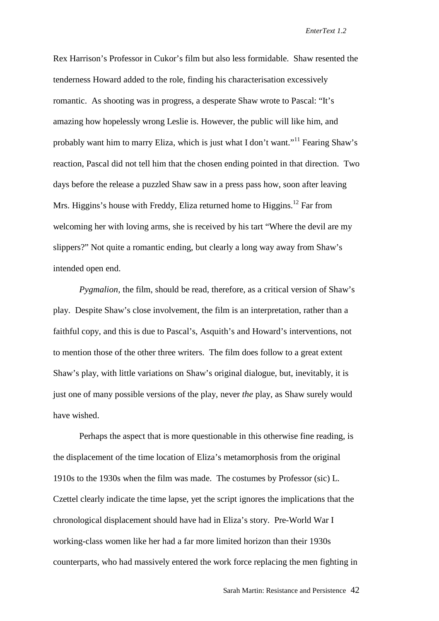Rex Harrison's Professor in Cukor's film but also less formidable. Shaw resented the tenderness Howard added to the role, finding his characterisation excessively romantic. As shooting was in progress, a desperate Shaw wrote to Pascal: "It's amazing how hopelessly wrong Leslie is. However, the public will like him, and probably want him to marry Eliza, which is just what I don't want."11 Fearing Shaw's reaction, Pascal did not tell him that the chosen ending pointed in that direction. Two days before the release a puzzled Shaw saw in a press pass how, soon after leaving Mrs. Higgins's house with Freddy, Eliza returned home to Higgins.<sup>12</sup> Far from welcoming her with loving arms, she is received by his tart "Where the devil are my slippers?" Not quite a romantic ending, but clearly a long way away from Shaw's intended open end.

*Pygmalion,* the film, should be read, therefore, as a critical version of Shaw's play. Despite Shaw's close involvement, the film is an interpretation, rather than a faithful copy, and this is due to Pascal's, Asquith's and Howard's interventions, not to mention those of the other three writers. The film does follow to a great extent Shaw's play, with little variations on Shaw's original dialogue, but, inevitably, it is just one of many possible versions of the play, never *the* play, as Shaw surely would have wished.

Perhaps the aspect that is more questionable in this otherwise fine reading, is the displacement of the time location of Eliza's metamorphosis from the original 1910s to the 1930s when the film was made. The costumes by Professor (sic) L. Czettel clearly indicate the time lapse, yet the script ignores the implications that the chronological displacement should have had in Eliza's story. Pre-World War I working-class women like her had a far more limited horizon than their 1930s counterparts, who had massively entered the work force replacing the men fighting in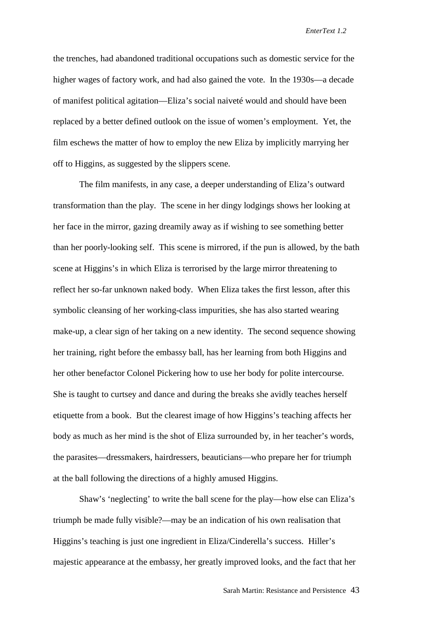the trenches, had abandoned traditional occupations such as domestic service for the higher wages of factory work, and had also gained the vote. In the 1930s—a decade of manifest political agitation—Eliza's social naiveté would and should have been replaced by a better defined outlook on the issue of women's employment. Yet, the film eschews the matter of how to employ the new Eliza by implicitly marrying her off to Higgins, as suggested by the slippers scene.

The film manifests, in any case, a deeper understanding of Eliza's outward transformation than the play. The scene in her dingy lodgings shows her looking at her face in the mirror, gazing dreamily away as if wishing to see something better than her poorly-looking self. This scene is mirrored, if the pun is allowed, by the bath scene at Higgins's in which Eliza is terrorised by the large mirror threatening to reflect her so-far unknown naked body. When Eliza takes the first lesson, after this symbolic cleansing of her working-class impurities, she has also started wearing make-up, a clear sign of her taking on a new identity. The second sequence showing her training, right before the embassy ball, has her learning from both Higgins and her other benefactor Colonel Pickering how to use her body for polite intercourse. She is taught to curtsey and dance and during the breaks she avidly teaches herself etiquette from a book. But the clearest image of how Higgins's teaching affects her body as much as her mind is the shot of Eliza surrounded by, in her teacher's words, the parasites—dressmakers, hairdressers, beauticians—who prepare her for triumph at the ball following the directions of a highly amused Higgins.

Shaw's 'neglecting' to write the ball scene for the play—how else can Eliza's triumph be made fully visible?—may be an indication of his own realisation that Higgins's teaching is just one ingredient in Eliza/Cinderella's success. Hiller's majestic appearance at the embassy, her greatly improved looks, and the fact that her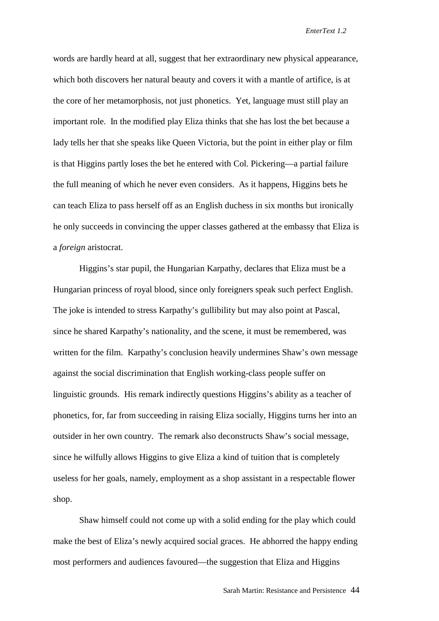words are hardly heard at all, suggest that her extraordinary new physical appearance, which both discovers her natural beauty and covers it with a mantle of artifice, is at the core of her metamorphosis, not just phonetics. Yet, language must still play an important role. In the modified play Eliza thinks that she has lost the bet because a lady tells her that she speaks like Queen Victoria, but the point in either play or film is that Higgins partly loses the bet he entered with Col. Pickering—a partial failure the full meaning of which he never even considers. As it happens, Higgins bets he can teach Eliza to pass herself off as an English duchess in six months but ironically he only succeeds in convincing the upper classes gathered at the embassy that Eliza is a *foreign* aristocrat.

Higgins's star pupil, the Hungarian Karpathy, declares that Eliza must be a Hungarian princess of royal blood, since only foreigners speak such perfect English. The joke is intended to stress Karpathy's gullibility but may also point at Pascal, since he shared Karpathy's nationality, and the scene, it must be remembered, was written for the film. Karpathy's conclusion heavily undermines Shaw's own message against the social discrimination that English working-class people suffer on linguistic grounds. His remark indirectly questions Higgins's ability as a teacher of phonetics, for, far from succeeding in raising Eliza socially, Higgins turns her into an outsider in her own country. The remark also deconstructs Shaw's social message, since he wilfully allows Higgins to give Eliza a kind of tuition that is completely useless for her goals, namely, employment as a shop assistant in a respectable flower shop.

Shaw himself could not come up with a solid ending for the play which could make the best of Eliza's newly acquired social graces. He abhorred the happy ending most performers and audiences favoured—the suggestion that Eliza and Higgins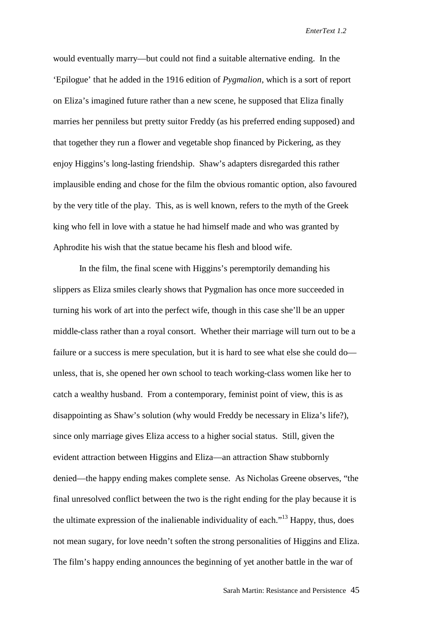would eventually marry—but could not find a suitable alternative ending. In the 'Epilogue' that he added in the 1916 edition of *Pygmalion*, which is a sort of report on Eliza's imagined future rather than a new scene, he supposed that Eliza finally marries her penniless but pretty suitor Freddy (as his preferred ending supposed) and that together they run a flower and vegetable shop financed by Pickering, as they enjoy Higgins's long-lasting friendship. Shaw's adapters disregarded this rather implausible ending and chose for the film the obvious romantic option, also favoured by the very title of the play. This, as is well known, refers to the myth of the Greek king who fell in love with a statue he had himself made and who was granted by Aphrodite his wish that the statue became his flesh and blood wife.

In the film, the final scene with Higgins's peremptorily demanding his slippers as Eliza smiles clearly shows that Pygmalion has once more succeeded in turning his work of art into the perfect wife, though in this case she'll be an upper middle-class rather than a royal consort. Whether their marriage will turn out to be a failure or a success is mere speculation, but it is hard to see what else she could do unless, that is, she opened her own school to teach working-class women like her to catch a wealthy husband. From a contemporary, feminist point of view, this is as disappointing as Shaw's solution (why would Freddy be necessary in Eliza's life?), since only marriage gives Eliza access to a higher social status. Still, given the evident attraction between Higgins and Eliza—an attraction Shaw stubbornly denied—the happy ending makes complete sense. As Nicholas Greene observes, "the final unresolved conflict between the two is the right ending for the play because it is the ultimate expression of the inalienable individuality of each."13 Happy, thus, does not mean sugary, for love needn't soften the strong personalities of Higgins and Eliza. The film's happy ending announces the beginning of yet another battle in the war of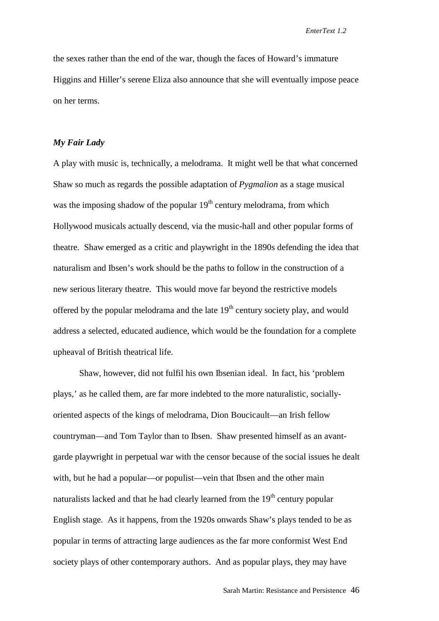the sexes rather than the end of the war, though the faces of Howard's immature Higgins and Hiller's serene Eliza also announce that she will eventually impose peace on her terms.

### *My Fair Lady*

A play with music is, technically, a melodrama. It might well be that what concerned Shaw so much as regards the possible adaptation of *Pygmalion* as a stage musical was the imposing shadow of the popular  $19<sup>th</sup>$  century melodrama, from which Hollywood musicals actually descend, via the music-hall and other popular forms of theatre. Shaw emerged as a critic and playwright in the 1890s defending the idea that naturalism and Ibsen's work should be the paths to follow in the construction of a new serious literary theatre. This would move far beyond the restrictive models offered by the popular melodrama and the late  $19<sup>th</sup>$  century society play, and would address a selected, educated audience, which would be the foundation for a complete upheaval of British theatrical life.

Shaw, however, did not fulfil his own Ibsenian ideal. In fact, his 'problem plays,' as he called them, are far more indebted to the more naturalistic, sociallyoriented aspects of the kings of melodrama, Dion Boucicault—an Irish fellow countryman—and Tom Taylor than to Ibsen. Shaw presented himself as an avantgarde playwright in perpetual war with the censor because of the social issues he dealt with, but he had a popular—or populist—vein that Ibsen and the other main naturalists lacked and that he had clearly learned from the  $19<sup>th</sup>$  century popular English stage. As it happens, from the 1920s onwards Shaw's plays tended to be as popular in terms of attracting large audiences as the far more conformist West End society plays of other contemporary authors. And as popular plays, they may have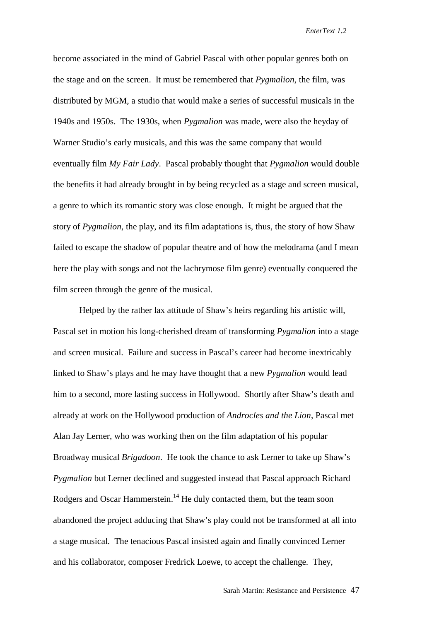become associated in the mind of Gabriel Pascal with other popular genres both on the stage and on the screen. It must be remembered that *Pygmalion*, the film, was distributed by MGM, a studio that would make a series of successful musicals in the 1940s and 1950s. The 1930s, when *Pygmalion* was made, were also the heyday of Warner Studio's early musicals, and this was the same company that would eventually film *My Fair Lady*. Pascal probably thought that *Pygmalion* would double the benefits it had already brought in by being recycled as a stage and screen musical, a genre to which its romantic story was close enough. It might be argued that the story of *Pygmalion*, the play, and its film adaptations is, thus, the story of how Shaw failed to escape the shadow of popular theatre and of how the melodrama (and I mean here the play with songs and not the lachrymose film genre) eventually conquered the film screen through the genre of the musical.

Helped by the rather lax attitude of Shaw's heirs regarding his artistic will, Pascal set in motion his long-cherished dream of transforming *Pygmalion* into a stage and screen musical. Failure and success in Pascal's career had become inextricably linked to Shaw's plays and he may have thought that a new *Pygmalion* would lead him to a second, more lasting success in Hollywood. Shortly after Shaw's death and already at work on the Hollywood production of *Androcles and the Lion*, Pascal met Alan Jay Lerner, who was working then on the film adaptation of his popular Broadway musical *Brigadoon*. He took the chance to ask Lerner to take up Shaw's *Pygmalion* but Lerner declined and suggested instead that Pascal approach Richard Rodgers and Oscar Hammerstein.<sup>14</sup> He duly contacted them, but the team soon abandoned the project adducing that Shaw's play could not be transformed at all into a stage musical. The tenacious Pascal insisted again and finally convinced Lerner and his collaborator, composer Fredrick Loewe, to accept the challenge. They,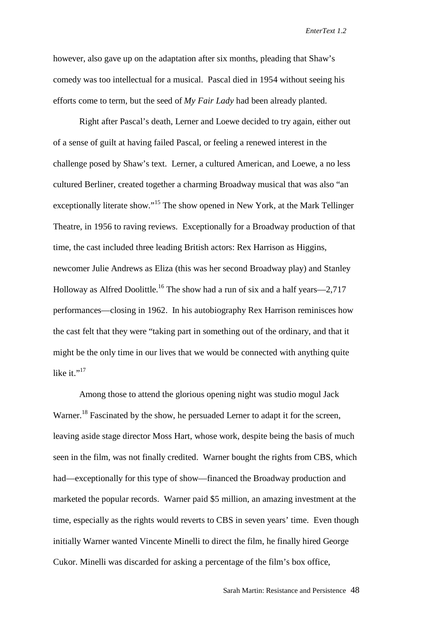however, also gave up on the adaptation after six months, pleading that Shaw's comedy was too intellectual for a musical. Pascal died in 1954 without seeing his efforts come to term, but the seed of *My Fair Lady* had been already planted.

Right after Pascal's death, Lerner and Loewe decided to try again, either out of a sense of guilt at having failed Pascal, or feeling a renewed interest in the challenge posed by Shaw's text. Lerner, a cultured American, and Loewe, a no less cultured Berliner, created together a charming Broadway musical that was also "an exceptionally literate show."<sup>15</sup> The show opened in New York, at the Mark Tellinger Theatre, in 1956 to raving reviews. Exceptionally for a Broadway production of that time, the cast included three leading British actors: Rex Harrison as Higgins, newcomer Julie Andrews as Eliza (this was her second Broadway play) and Stanley Holloway as Alfred Doolittle.<sup>16</sup> The show had a run of six and a half years—2,717 performances—closing in 1962. In his autobiography Rex Harrison reminisces how the cast felt that they were "taking part in something out of the ordinary, and that it might be the only time in our lives that we would be connected with anything quite like it $117$ 

Among those to attend the glorious opening night was studio mogul Jack Warner.<sup>18</sup> Fascinated by the show, he persuaded Lerner to adapt it for the screen, leaving aside stage director Moss Hart, whose work, despite being the basis of much seen in the film, was not finally credited. Warner bought the rights from CBS, which had—exceptionally for this type of show—financed the Broadway production and marketed the popular records. Warner paid \$5 million, an amazing investment at the time, especially as the rights would reverts to CBS in seven years' time. Even though initially Warner wanted Vincente Minelli to direct the film, he finally hired George Cukor. Minelli was discarded for asking a percentage of the film's box office,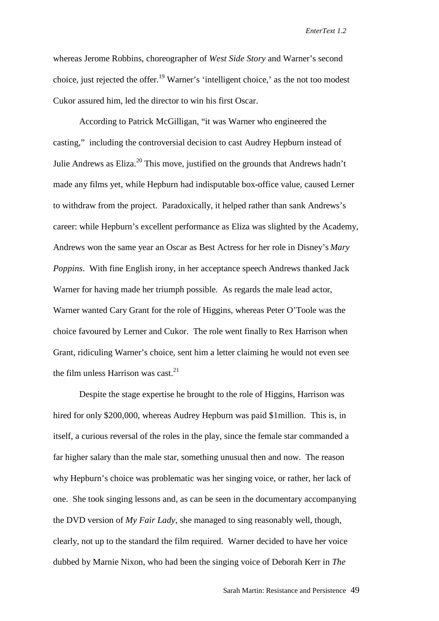whereas Jerome Robbins, choreographer of *West Side Story* and Warner's second choice, just rejected the offer.<sup>19</sup> Warner's 'intelligent choice,' as the not too modest Cukor assured him, led the director to win his first Oscar.

According to Patrick McGilligan, "it was Warner who engineered the casting," including the controversial decision to cast Audrey Hepburn instead of Julie Andrews as Eliza.<sup>20</sup> This move, justified on the grounds that Andrews hadn't made any films yet, while Hepburn had indisputable box-office value, caused Lerner to withdraw from the project. Paradoxically, it helped rather than sank Andrews's career: while Hepburn's excellent performance as Eliza was slighted by the Academy, Andrews won the same year an Oscar as Best Actress for her role in Disney's *Mary Poppins*. With fine English irony, in her acceptance speech Andrews thanked Jack Warner for having made her triumph possible. As regards the male lead actor, Warner wanted Cary Grant for the role of Higgins, whereas Peter O'Toole was the choice favoured by Lerner and Cukor. The role went finally to Rex Harrison when Grant, ridiculing Warner's choice, sent him a letter claiming he would not even see the film unless Harrison was cast. $^{21}$ 

Despite the stage expertise he brought to the role of Higgins, Harrison was hired for only \$200,000, whereas Audrey Hepburn was paid \$1million. This is, in itself, a curious reversal of the roles in the play, since the female star commanded a far higher salary than the male star, something unusual then and now. The reason why Hepburn's choice was problematic was her singing voice, or rather, her lack of one. She took singing lessons and, as can be seen in the documentary accompanying the DVD version of *My Fair Lady*, she managed to sing reasonably well, though, clearly, not up to the standard the film required. Warner decided to have her voice dubbed by Marnie Nixon, who had been the singing voice of Deborah Kerr in *The*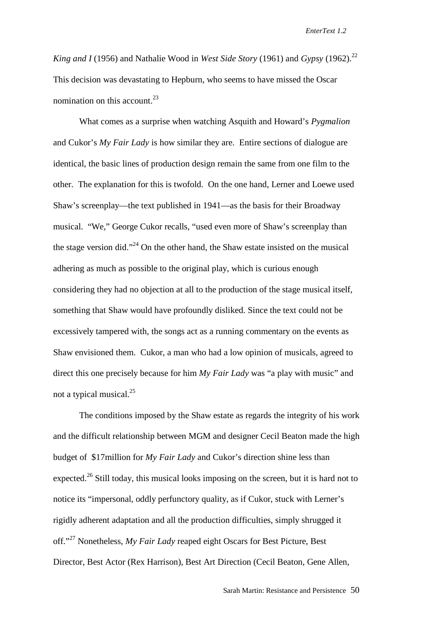*King and I* (1956) and Nathalie Wood in *West Side Story* (1961) and *Gypsy* (1962).<sup>22</sup> This decision was devastating to Hepburn, who seems to have missed the Oscar nomination on this account. $^{23}$ 

What comes as a surprise when watching Asquith and Howard's *Pygmalion* and Cukor's *My Fair Lady* is how similar they are. Entire sections of dialogue are identical, the basic lines of production design remain the same from one film to the other. The explanation for this is twofold. On the one hand, Lerner and Loewe used Shaw's screenplay—the text published in 1941—as the basis for their Broadway musical. "We," George Cukor recalls, "used even more of Shaw's screenplay than the stage version did."<sup>24</sup> On the other hand, the Shaw estate insisted on the musical adhering as much as possible to the original play, which is curious enough considering they had no objection at all to the production of the stage musical itself, something that Shaw would have profoundly disliked. Since the text could not be excessively tampered with, the songs act as a running commentary on the events as Shaw envisioned them. Cukor, a man who had a low opinion of musicals, agreed to direct this one precisely because for him *My Fair Lady* was "a play with music" and not a typical musical. $^{25}$ 

The conditions imposed by the Shaw estate as regards the integrity of his work and the difficult relationship between MGM and designer Cecil Beaton made the high budget of \$17million for *My Fair Lady* and Cukor's direction shine less than expected.<sup>26</sup> Still today, this musical looks imposing on the screen, but it is hard not to notice its "impersonal, oddly perfunctory quality, as if Cukor, stuck with Lerner's rigidly adherent adaptation and all the production difficulties, simply shrugged it off."27 Nonetheless, *My Fair Lady* reaped eight Oscars for Best Picture, Best Director, Best Actor (Rex Harrison), Best Art Direction (Cecil Beaton, Gene Allen,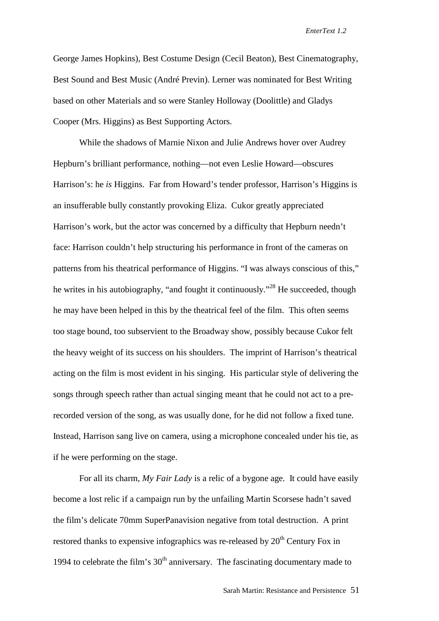George James Hopkins), Best Costume Design (Cecil Beaton), Best Cinematography, Best Sound and Best Music (André Previn). Lerner was nominated for Best Writing based on other Materials and so were Stanley Holloway (Doolittle) and Gladys Cooper (Mrs. Higgins) as Best Supporting Actors.

While the shadows of Marnie Nixon and Julie Andrews hover over Audrey Hepburn's brilliant performance, nothing—not even Leslie Howard—obscures Harrison's: he *is* Higgins. Far from Howard's tender professor, Harrison's Higgins is an insufferable bully constantly provoking Eliza. Cukor greatly appreciated Harrison's work, but the actor was concerned by a difficulty that Hepburn needn't face: Harrison couldn't help structuring his performance in front of the cameras on patterns from his theatrical performance of Higgins. "I was always conscious of this," he writes in his autobiography, "and fought it continuously."28 He succeeded, though he may have been helped in this by the theatrical feel of the film. This often seems too stage bound, too subservient to the Broadway show, possibly because Cukor felt the heavy weight of its success on his shoulders. The imprint of Harrison's theatrical acting on the film is most evident in his singing. His particular style of delivering the songs through speech rather than actual singing meant that he could not act to a prerecorded version of the song, as was usually done, for he did not follow a fixed tune. Instead, Harrison sang live on camera, using a microphone concealed under his tie, as if he were performing on the stage.

For all its charm, *My Fair Lady* is a relic of a bygone age. It could have easily become a lost relic if a campaign run by the unfailing Martin Scorsese hadn't saved the film's delicate 70mm SuperPanavision negative from total destruction. A print restored thanks to expensive infographics was re-released by  $20<sup>th</sup>$  Century Fox in 1994 to celebrate the film's  $30<sup>th</sup>$  anniversary. The fascinating documentary made to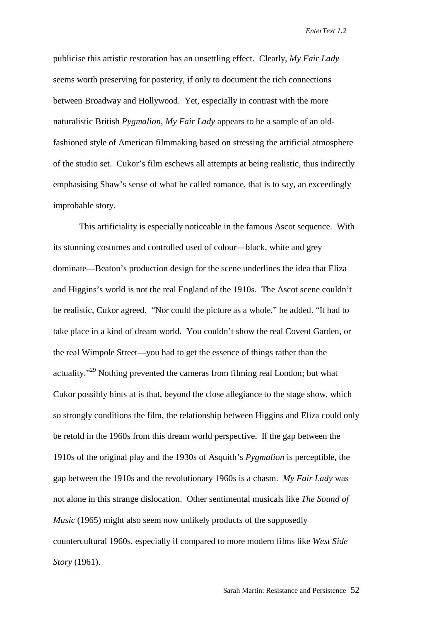publicise this artistic restoration has an unsettling effect. Clearly, *My Fair Lady* seems worth preserving for posterity, if only to document the rich connections between Broadway and Hollywood. Yet, especially in contrast with the more naturalistic British *Pygmalion*, *My Fair Lady* appears to be a sample of an oldfashioned style of American filmmaking based on stressing the artificial atmosphere of the studio set. Cukor's film eschews all attempts at being realistic, thus indirectly emphasising Shaw's sense of what he called romance, that is to say, an exceedingly improbable story.

This artificiality is especially noticeable in the famous Ascot sequence. With its stunning costumes and controlled used of colour—black, white and grey dominate—Beaton's production design for the scene underlines the idea that Eliza and Higgins's world is not the real England of the 1910s. The Ascot scene couldn't be realistic, Cukor agreed. "Nor could the picture as a whole," he added. "It had to take place in a kind of dream world. You couldn't show the real Covent Garden, or the real Wimpole Street—you had to get the essence of things rather than the actuality."29 Nothing prevented the cameras from filming real London; but what Cukor possibly hints at is that, beyond the close allegiance to the stage show, which so strongly conditions the film, the relationship between Higgins and Eliza could only be retold in the 1960s from this dream world perspective. If the gap between the 1910s of the original play and the 1930s of Asquith's *Pygmalion* is perceptible, the gap between the 1910s and the revolutionary 1960s is a chasm. *My Fair Lady* was not alone in this strange dislocation. Other sentimental musicals like *The Sound of Music* (1965) might also seem now unlikely products of the supposedly countercultural 1960s, especially if compared to more modern films like *West Side Story* (1961).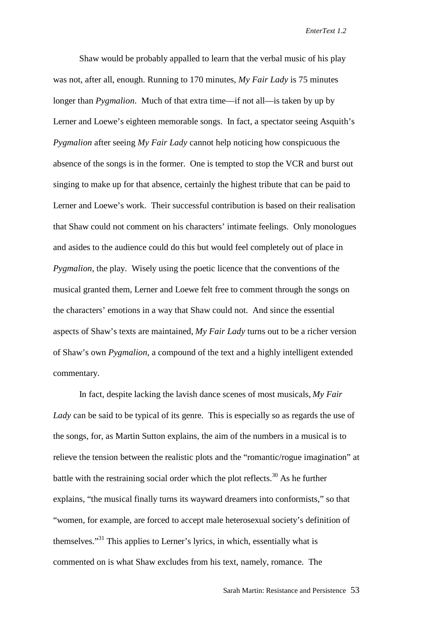Shaw would be probably appalled to learn that the verbal music of his play was not, after all, enough. Running to 170 minutes, *My Fair Lady* is 75 minutes longer than *Pygmalion*. Much of that extra time—if not all—is taken by up by Lerner and Loewe's eighteen memorable songs. In fact, a spectator seeing Asquith's *Pygmalion* after seeing *My Fair Lady* cannot help noticing how conspicuous the absence of the songs is in the former. One is tempted to stop the VCR and burst out singing to make up for that absence, certainly the highest tribute that can be paid to Lerner and Loewe's work. Their successful contribution is based on their realisation that Shaw could not comment on his characters' intimate feelings. Only monologues and asides to the audience could do this but would feel completely out of place in *Pygmalion*, the play. Wisely using the poetic licence that the conventions of the musical granted them, Lerner and Loewe felt free to comment through the songs on the characters' emotions in a way that Shaw could not. And since the essential aspects of Shaw's texts are maintained, *My Fair Lady* turns out to be a richer version of Shaw's own *Pygmalion*, a compound of the text and a highly intelligent extended commentary.

In fact, despite lacking the lavish dance scenes of most musicals, *My Fair Lady* can be said to be typical of its genre. This is especially so as regards the use of the songs, for, as Martin Sutton explains, the aim of the numbers in a musical is to relieve the tension between the realistic plots and the "romantic/rogue imagination" at battle with the restraining social order which the plot reflects.<sup>30</sup> As he further explains, "the musical finally turns its wayward dreamers into conformists," so that "women, for example, are forced to accept male heterosexual society's definition of themselves."31 This applies to Lerner's lyrics, in which, essentially what is commented on is what Shaw excludes from his text, namely, romance. The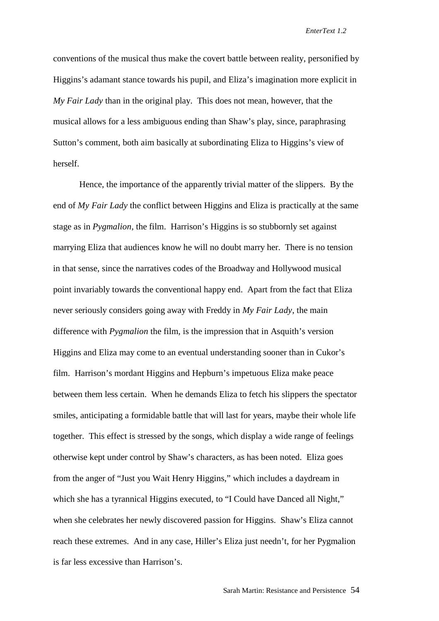conventions of the musical thus make the covert battle between reality, personified by Higgins's adamant stance towards his pupil, and Eliza's imagination more explicit in *My Fair Lady* than in the original play. This does not mean, however, that the musical allows for a less ambiguous ending than Shaw's play, since, paraphrasing Sutton's comment, both aim basically at subordinating Eliza to Higgins's view of herself.

Hence, the importance of the apparently trivial matter of the slippers. By the end of *My Fair Lady* the conflict between Higgins and Eliza is practically at the same stage as in *Pygmalion,* the film. Harrison's Higgins is so stubbornly set against marrying Eliza that audiences know he will no doubt marry her. There is no tension in that sense, since the narratives codes of the Broadway and Hollywood musical point invariably towards the conventional happy end. Apart from the fact that Eliza never seriously considers going away with Freddy in *My Fair Lady*, the main difference with *Pygmalion* the film, is the impression that in Asquith's version Higgins and Eliza may come to an eventual understanding sooner than in Cukor's film. Harrison's mordant Higgins and Hepburn's impetuous Eliza make peace between them less certain. When he demands Eliza to fetch his slippers the spectator smiles, anticipating a formidable battle that will last for years, maybe their whole life together. This effect is stressed by the songs, which display a wide range of feelings otherwise kept under control by Shaw's characters, as has been noted. Eliza goes from the anger of "Just you Wait Henry Higgins," which includes a daydream in which she has a tyrannical Higgins executed, to "I Could have Danced all Night," when she celebrates her newly discovered passion for Higgins. Shaw's Eliza cannot reach these extremes. And in any case, Hiller's Eliza just needn't, for her Pygmalion is far less excessive than Harrison's.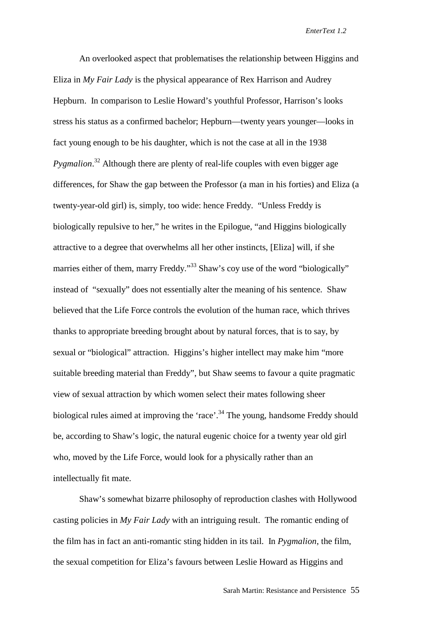An overlooked aspect that problematises the relationship between Higgins and Eliza in *My Fair Lady* is the physical appearance of Rex Harrison and Audrey Hepburn. In comparison to Leslie Howard's youthful Professor, Harrison's looks stress his status as a confirmed bachelor; Hepburn—twenty years younger—looks in fact young enough to be his daughter, which is not the case at all in the 1938 *Pygmalion*. 32 Although there are plenty of real-life couples with even bigger age differences, for Shaw the gap between the Professor (a man in his forties) and Eliza (a twenty-year-old girl) is, simply, too wide: hence Freddy. "Unless Freddy is biologically repulsive to her," he writes in the Epilogue, "and Higgins biologically attractive to a degree that overwhelms all her other instincts, [Eliza] will, if she marries either of them, marry Freddy."<sup>33</sup> Shaw's coy use of the word "biologically" instead of "sexually" does not essentially alter the meaning of his sentence. Shaw believed that the Life Force controls the evolution of the human race, which thrives thanks to appropriate breeding brought about by natural forces, that is to say, by sexual or "biological" attraction. Higgins's higher intellect may make him "more suitable breeding material than Freddy", but Shaw seems to favour a quite pragmatic view of sexual attraction by which women select their mates following sheer biological rules aimed at improving the 'race'.<sup>34</sup> The young, handsome Freddy should be, according to Shaw's logic, the natural eugenic choice for a twenty year old girl who, moved by the Life Force, would look for a physically rather than an intellectually fit mate.

Shaw's somewhat bizarre philosophy of reproduction clashes with Hollywood casting policies in *My Fair Lady* with an intriguing result. The romantic ending of the film has in fact an anti-romantic sting hidden in its tail. In *Pygmalion*, the film, the sexual competition for Eliza's favours between Leslie Howard as Higgins and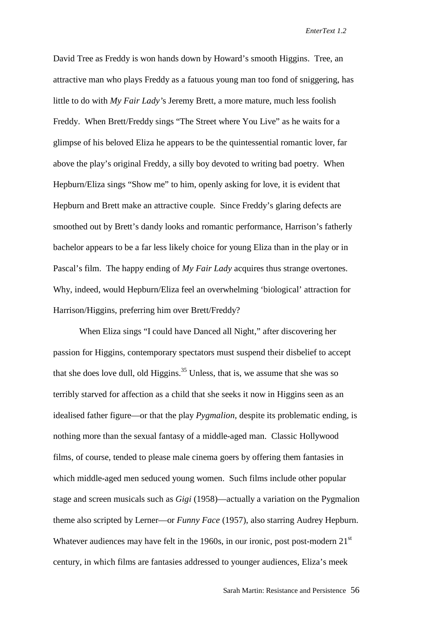David Tree as Freddy is won hands down by Howard's smooth Higgins. Tree, an attractive man who plays Freddy as a fatuous young man too fond of sniggering, has little to do with *My Fair Lady'*s Jeremy Brett, a more mature, much less foolish Freddy. When Brett/Freddy sings "The Street where You Live" as he waits for a glimpse of his beloved Eliza he appears to be the quintessential romantic lover, far above the play's original Freddy, a silly boy devoted to writing bad poetry. When Hepburn/Eliza sings "Show me" to him, openly asking for love, it is evident that Hepburn and Brett make an attractive couple. Since Freddy's glaring defects are smoothed out by Brett's dandy looks and romantic performance, Harrison's fatherly bachelor appears to be a far less likely choice for young Eliza than in the play or in Pascal's film. The happy ending of *My Fair Lady* acquires thus strange overtones. Why, indeed, would Hepburn/Eliza feel an overwhelming 'biological' attraction for Harrison/Higgins, preferring him over Brett/Freddy?

When Eliza sings "I could have Danced all Night," after discovering her passion for Higgins, contemporary spectators must suspend their disbelief to accept that she does love dull, old Higgins.<sup>35</sup> Unless, that is, we assume that she was so terribly starved for affection as a child that she seeks it now in Higgins seen as an idealised father figure—or that the play *Pygmalion*, despite its problematic ending, is nothing more than the sexual fantasy of a middle-aged man. Classic Hollywood films, of course, tended to please male cinema goers by offering them fantasies in which middle-aged men seduced young women. Such films include other popular stage and screen musicals such as *Gigi* (1958)—actually a variation on the Pygmalion theme also scripted by Lerner—or *Funny Face* (1957), also starring Audrey Hepburn. Whatever audiences may have felt in the 1960s, in our ironic, post post-modern  $21<sup>st</sup>$ century, in which films are fantasies addressed to younger audiences, Eliza's meek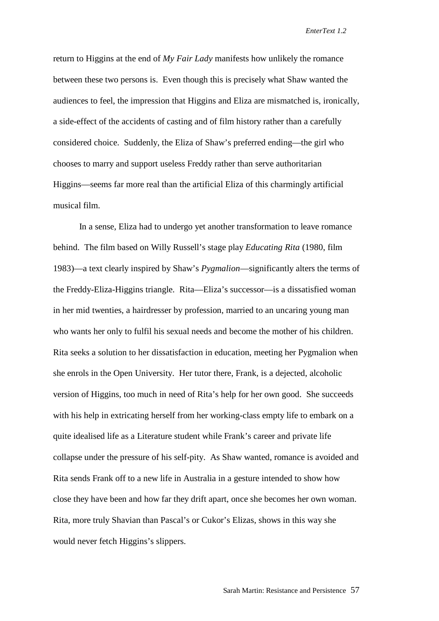return to Higgins at the end of *My Fair Lady* manifests how unlikely the romance between these two persons is. Even though this is precisely what Shaw wanted the audiences to feel, the impression that Higgins and Eliza are mismatched is, ironically, a side-effect of the accidents of casting and of film history rather than a carefully considered choice. Suddenly, the Eliza of Shaw's preferred ending—the girl who chooses to marry and support useless Freddy rather than serve authoritarian Higgins—seems far more real than the artificial Eliza of this charmingly artificial musical film.

In a sense, Eliza had to undergo yet another transformation to leave romance behind. The film based on Willy Russell's stage play *Educating Rita* (1980, film 1983)—a text clearly inspired by Shaw's *Pygmalion*—significantly alters the terms of the Freddy-Eliza-Higgins triangle. Rita—Eliza's successor—is a dissatisfied woman in her mid twenties, a hairdresser by profession, married to an uncaring young man who wants her only to fulfil his sexual needs and become the mother of his children. Rita seeks a solution to her dissatisfaction in education, meeting her Pygmalion when she enrols in the Open University. Her tutor there, Frank, is a dejected, alcoholic version of Higgins, too much in need of Rita's help for her own good. She succeeds with his help in extricating herself from her working-class empty life to embark on a quite idealised life as a Literature student while Frank's career and private life collapse under the pressure of his self-pity. As Shaw wanted, romance is avoided and Rita sends Frank off to a new life in Australia in a gesture intended to show how close they have been and how far they drift apart, once she becomes her own woman. Rita, more truly Shavian than Pascal's or Cukor's Elizas, shows in this way she would never fetch Higgins's slippers.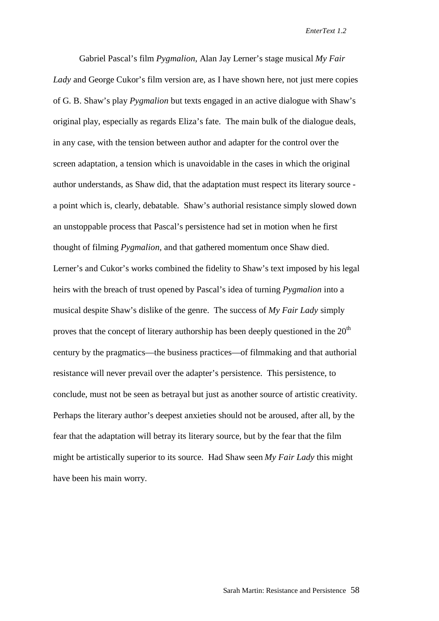Gabriel Pascal's film *Pygmalion*, Alan Jay Lerner's stage musical *My Fair Lady* and George Cukor's film version are, as I have shown here, not just mere copies of G. B. Shaw's play *Pygmalion* but texts engaged in an active dialogue with Shaw's original play, especially as regards Eliza's fate. The main bulk of the dialogue deals, in any case, with the tension between author and adapter for the control over the screen adaptation, a tension which is unavoidable in the cases in which the original author understands, as Shaw did, that the adaptation must respect its literary source a point which is, clearly, debatable. Shaw's authorial resistance simply slowed down an unstoppable process that Pascal's persistence had set in motion when he first thought of filming *Pygmalion*, and that gathered momentum once Shaw died. Lerner's and Cukor's works combined the fidelity to Shaw's text imposed by his legal heirs with the breach of trust opened by Pascal's idea of turning *Pygmalion* into a musical despite Shaw's dislike of the genre. The success of *My Fair Lady* simply proves that the concept of literary authorship has been deeply questioned in the  $20<sup>th</sup>$ century by the pragmatics—the business practices—of filmmaking and that authorial resistance will never prevail over the adapter's persistence. This persistence, to conclude, must not be seen as betrayal but just as another source of artistic creativity. Perhaps the literary author's deepest anxieties should not be aroused, after all, by the fear that the adaptation will betray its literary source, but by the fear that the film might be artistically superior to its source. Had Shaw seen *My Fair Lady* this might have been his main worry.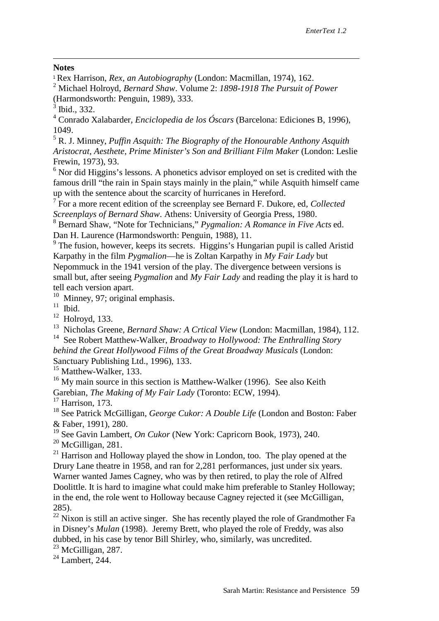### $\overline{a}$ **Notes**

<sup>1</sup> Rex Harrison, *Rex, an Autobiography* (London: Macmillan, 1974), 162.

2 Michael Holroyd, *Bernard Shaw*. Volume 2: *1898-1918 The Pursuit of Power* (Harmondsworth: Penguin, 1989), 333.

4 Conrado Xalabarder, *Enciclopedia de los Óscars* (Barcelona: Ediciones B, 1996), 1049.

5 R. J. Minney, *Puffin Asquith: The Biography of the Honourable Anthony Asquith Aristocrat, Aesthete, Prime Minister's Son and Brilliant Film Maker* (London: Leslie Frewin, 1973), 93.

 $6$  Nor did Higgins's lessons. A phonetics advisor employed on set is credited with the famous drill "the rain in Spain stays mainly in the plain," while Asquith himself came up with the sentence about the scarcity of hurricanes in Hereford.

7 For a more recent edition of the screenplay see Bernard F. Dukore, ed, *Collected Screenplays of Bernard Shaw*. Athens: University of Georgia Press, 1980.

8 Bernard Shaw, "Note for Technicians," *Pygmalion: A Romance in Five Acts* ed. Dan H. Laurence (Harmondsworth: Penguin, 1988), 11.

<sup>9</sup> The fusion, however, keeps its secrets. Higgins's Hungarian pupil is called Aristid Karpathy in the film *Pygmalion*—he is Zoltan Karpathy in *My Fair Lady* but Nepommuck in the 1941 version of the play. The divergence between versions is small but, after seeing *Pygmalion* and *My Fair Lady* and reading the play it is hard to tell each version apart.

<sup>10</sup> Minney, 97; original emphasis.

 $11$  Ibid.

 $12$  Holroyd, 133.

13 Nicholas Greene, *Bernard Shaw: A Crtical View* (London: Macmillan, 1984), 112.

14 See Robert Matthew-Walker, *Broadway to Hollywood: The Enthralling Story behind the Great Hollywood Films of the Great Broadway Musicals* (London: Sanctuary Publishing Ltd., 1996), 133.

<sup>15</sup> Matthew-Walker, 133.

 $16$  My main source in this section is Matthew-Walker (1996). See also Keith Garebian, *The Making of My Fair Lady* (Toronto: ECW, 1994).

 $17$  Harrison, 173.

18 See Patrick McGilligan, *George Cukor: A Double Life* (London and Boston: Faber & Faber, 1991), 280.

19 See Gavin Lambert, *On Cukor* (New York: Capricorn Book, 1973), 240.

 $20$  McGilligan, 281.

 $21$  Harrison and Holloway played the show in London, too. The play opened at the Drury Lane theatre in 1958, and ran for 2,281 performances, just under six years. Warner wanted James Cagney, who was by then retired, to play the role of Alfred Doolittle. It is hard to imagine what could make him preferable to Stanley Holloway; in the end, the role went to Holloway because Cagney rejected it (see McGilligan, 285).

 $22$ <sup>22</sup> Nixon is still an active singer. She has recently played the role of Grandmother Fa in Disney's *Mulan* (1998). Jeremy Brett, who played the role of Freddy, was also dubbed, in his case by tenor Bill Shirley, who, similarly, was uncredited.

 $23$  McGilligan, 287.

<sup>24</sup> Lambert, 244.

<sup>3</sup> Ibid., 332.